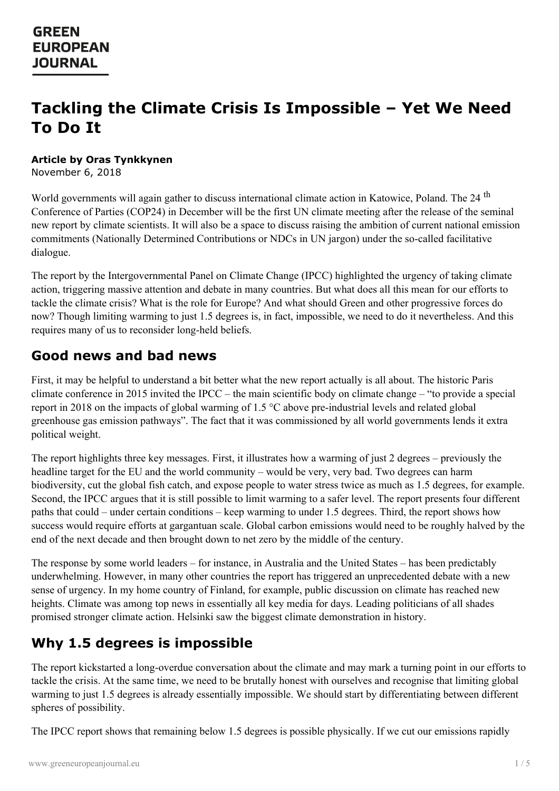# **Tackling the Climate Crisis Is Impossible – Yet We Need To Do It**

#### **Article by Oras Tynkkynen**

November 6, 2018

World governments will again gather to discuss international climate action in Katowice, Poland. The 24<sup>th</sup> Conference of Parties (COP24) in December will be the first UN climate meeting after the release of the seminal new report by climate scientists. It will also be a space to discuss raising the ambition of current national emission commitments (Nationally Determined Contributions or NDCs in UN jargon) under the so-called facilitative dialogue.

The report by the Intergovernmental Panel on Climate Change (IPCC) highlighted the urgency of taking climate action, triggering massive attention and debate in many countries. But what does all this mean for our efforts to tackle the climate crisis? What is the role for Europe? And what should Green and other progressive forces do now? Though limiting warming to just 1.5 degrees is, in fact, impossible, we need to do it nevertheless. And this requires many of us to reconsider long-held beliefs.

#### **Good news and bad news**

First, it may be helpful to understand a bit better what the new report actually is all about. The historic Paris climate conference in 2015 invited the IPCC – the main scientific body on climate change – "to provide a special report in 2018 on the impacts of global warming of 1.5 °C above pre-industrial levels and related global greenhouse gas emission pathways". The fact that it was commissioned by all world governments lends it extra political weight.

The report highlights three key messages. First, it illustrates how a warming of just 2 degrees – previously the headline target for the EU and the world community – would be very, very bad. Two degrees can harm biodiversity, cut the global fish catch, and expose people to water stress twice as much as 1.5 degrees, for example. Second, the IPCC argues that it is still possible to limit warming to a safer level. The report presents four different paths that could – under certain conditions – keep warming to under 1.5 degrees. Third, the report shows how success would require efforts at gargantuan scale. Global carbon emissions would need to be roughly halved by the end of the next decade and then brought down to net zero by the middle of the century.

The response by some world leaders – for instance, in Australia and the United States – has been predictably underwhelming. However, in many other countries the report has triggered an unprecedented debate with a new sense of urgency. In my home country of Finland, for example, public discussion on climate has reached new heights. Climate was among top news in essentially all key media for days. Leading politicians of all shades promised stronger climate action. Helsinki saw the biggest climate demonstration in history.

#### **Why 1.5 degrees is impossible**

The report [kickstarted](https://www.greeneuropeanjournal.eu) a long-overdue conversation about the climate and may mark a turning point in our efforts to tackle the crisis. At the same time, we need to be brutally honest with ourselves and recognise that limiting global warming to just 1.5 degrees is already essentially impossible. We should start by differentiating between different spheres of possibility.

The IPCC report shows that remaining below 1.5 degrees is possible physically. If we cut our emissions rapidly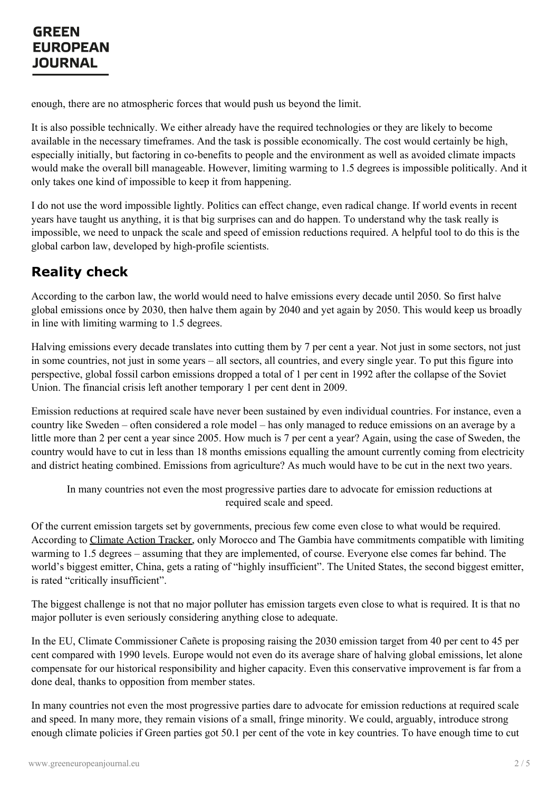enough, there are no atmospheric forces that would push us beyond the limit.

It is also possible technically. We either already have the required technologies or they are likely to become available in the necessary timeframes. And the task is possible economically. The cost would certainly be high, especially initially, but factoring in co-benefits to people and the environment as well as avoided climate impacts would make the overall bill manageable. However, limiting warming to 1.5 degrees is impossible politically. And it only takes one kind of impossible to keep it from happening.

I do not use the word impossible lightly. Politics can effect change, even radical change. If world events in recent years have taught us anything, it is that big surprises can and do happen. To understand why the task really is impossible, we need to unpack the scale and speed of emission reductions required. A helpful tool to do this is the global carbon law, developed by high-profile scientists.

## **Reality check**

According to the carbon law, the world would need to halve emissions every decade until 2050. So first halve global emissions once by 2030, then halve them again by 2040 and yet again by 2050. This would keep us broadly in line with limiting warming to 1.5 degrees.

Halving emissions every decade translates into cutting them by 7 per cent a year. Not just in some sectors, not just in some countries, not just in some years – all sectors, all countries, and every single year. To put this figure into perspective, global fossil carbon emissions dropped a total of 1 per cent in 1992 after the collapse of the Soviet Union. The financial crisis left another temporary 1 per cent dent in 2009.

Emission reductions at required scale have never been sustained by even individual countries. For instance, even a country like Sweden – often considered a role model – has only managed to reduce emissions on an average by a little more than 2 per cent a year since 2005. How much is 7 per cent a year? Again, using the case of Sweden, the country would have to cut in less than 18 months emissions equalling the amount currently coming from electricity and district heating combined. Emissions from agriculture? As much would have to be cut in the next two years.

In many countries not even the most progressive parties dare to advocate for emission reductions at required scale and speed.

Of the current emission targets set by governments, precious few come even close to what would be required. According to [Climate](https://climateactiontracker.org/) Action Tracker, only Morocco and The Gambia have commitments compatible with limiting warming to 1.5 degrees – assuming that they are implemented, of course. Everyone else comes far behind. The world's biggest emitter, China, gets a rating of "highly insufficient". The United States, the second biggest emitter, is rated "critically insufficient".

The biggest challenge is not that no major polluter has emission targets even close to what is required. It is that no major polluter is even seriously considering anything close to adequate.

In the EU, Climate Commissioner Cañete is proposing raising the 2030 emission target from 40 per cent to 45 per cent compared with 1990 levels. Europe would not even do its average share of halving global emissions, let alone [compensate](https://www.greeneuropeanjournal.eu) for our historical responsibility and higher capacity. Even this conservative improvement is far from a done deal, thanks to opposition from member states.

In many countries not even the most progressive parties dare to advocate for emission reductions at required scale and speed. In many more, they remain visions of a small, fringe minority. We could, arguably, introduce strong enough climate policies if Green parties got 50.1 per cent of the vote in key countries. To have enough time to cut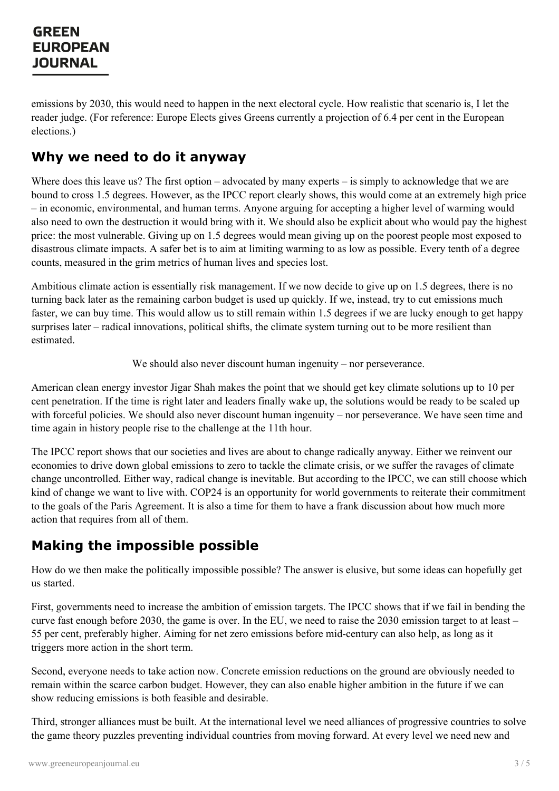emissions by 2030, this would need to happen in the next electoral cycle. How realistic that scenario is, I let the reader judge. (For reference: Europe Elects gives Greens currently a projection of 6.4 per cent in the European elections.)

#### **Why we need to do it anyway**

Where does this leave us? The first option – advocated by many experts – is simply to acknowledge that we are bound to cross 1.5 degrees. However, as the IPCC report clearly shows, this would come at an extremely high price – in economic, environmental, and human terms. Anyone arguing for accepting a higher level of warming would also need to own the destruction it would bring with it. We should also be explicit about who would pay the highest price: the most vulnerable. Giving up on 1.5 degrees would mean giving up on the poorest people most exposed to disastrous climate impacts. A safer bet is to aim at limiting warming to as low as possible. Every tenth of a degree counts, measured in the grim metrics of human lives and species lost.

Ambitious climate action is essentially risk management. If we now decide to give up on 1.5 degrees, there is no turning back later as the remaining carbon budget is used up quickly. If we, instead, try to cut emissions much faster, we can buy time. This would allow us to still remain within 1.5 degrees if we are lucky enough to get happy surprises later – radical innovations, political shifts, the climate system turning out to be more resilient than estimated.

We should also never discount human ingenuity – nor perseverance.

American clean energy investor Jigar Shah makes the point that we should get key climate solutions up to 10 per cent penetration. If the time is right later and leaders finally wake up, the solutions would be ready to be scaled up with forceful policies. We should also never discount human ingenuity – nor perseverance. We have seen time and time again in history people rise to the challenge at the 11th hour.

The IPCC report shows that our societies and lives are about to change radically anyway. Either we reinvent our economies to drive down global emissions to zero to tackle the climate crisis, or we suffer the ravages of climate change uncontrolled. Either way, radical change is inevitable. But according to the IPCC, we can still choose which kind of change we want to live with. COP24 is an opportunity for world governments to reiterate their commitment to the goals of the Paris Agreement. It is also a time for them to have a frank discussion about how much more action that requires from all of them.

#### **Making the impossible possible**

How do we then make the politically impossible possible? The answer is elusive, but some ideas can hopefully get us started.

First, governments need to increase the ambition of emission targets. The IPCC shows that if we fail in bending the curve fast enough before 2030, the game is over. In the EU, we need to raise the 2030 emission target to at least – 55 per cent, preferably higher. Aiming for net zero emissions before mid-century can also help, as long as it triggers more action in the short term.

Second, [everyone](https://www.greeneuropeanjournal.eu) needs to take action now. Concrete emission reductions on the ground are obviously needed to remain within the scarce carbon budget. However, they can also enable higher ambition in the future if we can show reducing emissions is both feasible and desirable.

Third, stronger alliances must be built. At the international level we need alliances of progressive countries to solve the game theory puzzles preventing individual countries from moving forward. At every level we need new and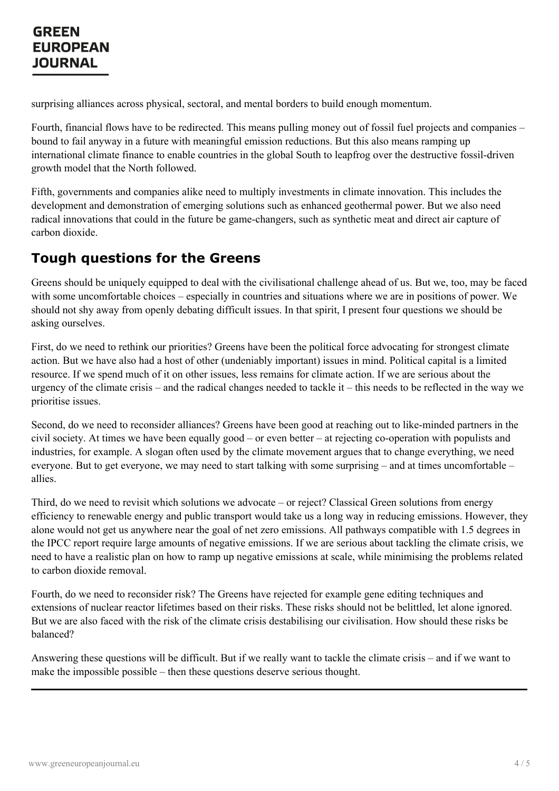surprising alliances across physical, sectoral, and mental borders to build enough momentum.

Fourth, financial flows have to be redirected. This means pulling money out of fossil fuel projects and companies – bound to fail anyway in a future with meaningful emission reductions. But this also means ramping up international climate finance to enable countries in the global South to leapfrog over the destructive fossil-driven growth model that the North followed.

Fifth, governments and companies alike need to multiply investments in climate innovation. This includes the development and demonstration of emerging solutions such as enhanced geothermal power. But we also need radical innovations that could in the future be game-changers, such as synthetic meat and direct air capture of carbon dioxide.

#### **Tough questions for the Greens**

Greens should be uniquely equipped to deal with the civilisational challenge ahead of us. But we, too, may be faced with some uncomfortable choices – especially in countries and situations where we are in positions of power. We should not shy away from openly debating difficult issues. In that spirit, I present four questions we should be asking ourselves.

First, do we need to rethink our priorities? Greens have been the political force advocating for strongest climate action. But we have also had a host of other (undeniably important) issues in mind. Political capital is a limited resource. If we spend much of it on other issues, less remains for climate action. If we are serious about the urgency of the climate crisis – and the radical changes needed to tackle it – this needs to be reflected in the way we prioritise issues.

Second, do we need to reconsider alliances? Greens have been good at reaching out to like-minded partners in the civil society. At times we have been equally good – or even better – at rejecting co-operation with populists and industries, for example. A slogan often used by the climate movement argues that to change everything, we need everyone. But to get everyone, we may need to start talking with some surprising – and at times uncomfortable – allies.

Third, do we need to revisit which solutions we advocate – or reject? Classical Green solutions from energy efficiency to renewable energy and public transport would take us a long way in reducing emissions. However, they alone would not get us anywhere near the goal of net zero emissions. All pathways compatible with 1.5 degrees in the IPCC report require large amounts of negative emissions. If we are serious about tackling the climate crisis, we need to have a realistic plan on how to ramp up negative emissions at scale, while minimising the problems related to carbon dioxide removal.

Fourth, do we need to reconsider risk? The Greens have rejected for example gene editing techniques and extensions of nuclear reactor lifetimes based on their risks. These risks should not be belittled, let alone ignored. But we are also faced with the risk of the climate crisis destabilising our civilisation. How should these risks be balanced?

[Answering](https://www.greeneuropeanjournal.eu) these questions will be difficult. But if we really want to tackle the climate crisis – and if we want to make the impossible possible – then these questions deserve serious thought.